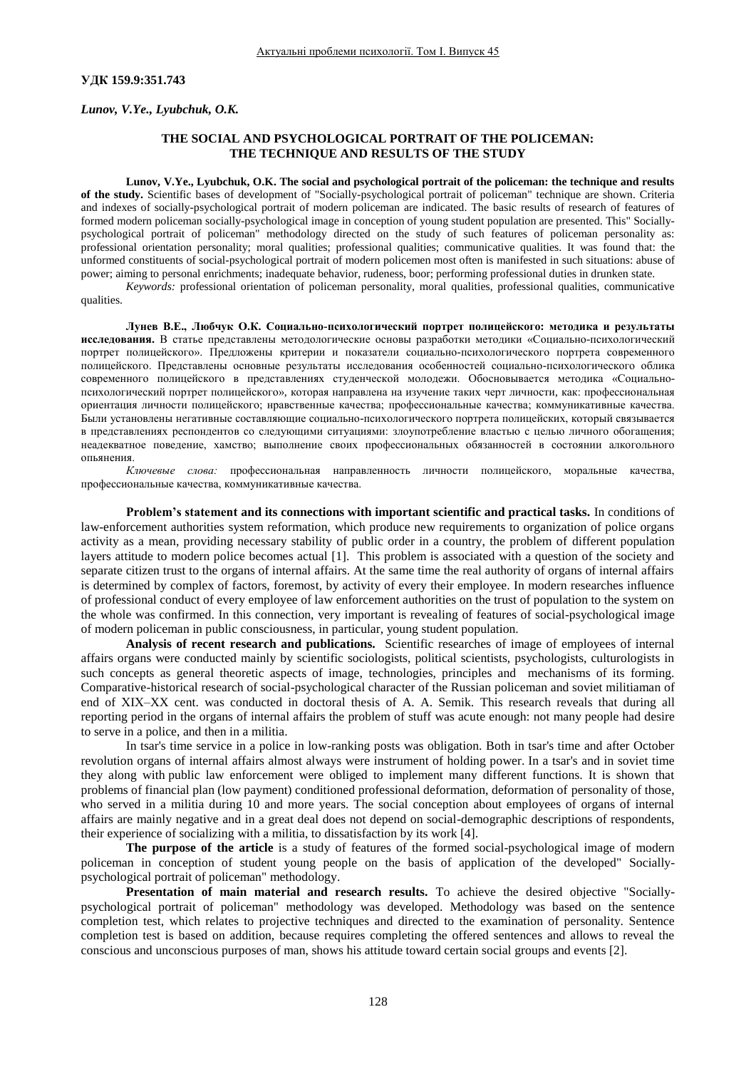## **УДК 159.9:351.743**

*Lunov, V.Ye., Lyubchuk, O.K.*

# **THE SOCIAL AND PSYCHOLOGICAL PORTRAIT OF THE POLICEMAN: THE TECHNIQUE AND RESULTS OF THE STUDY**

**Lunov, V.Ye., Lyubchuk, O.K. The social and psychological portrait of the policeman: the technique and results of the study.** Scientific bases of development of "Socially-psychological portrait of policeman" technique are shown. Criteria and indexes of socially-psychological portrait of modern policeman are indicated. The basic results of research of features of formed modern policeman socially-psychological image in conception of young student population are presented. This" Sociallypsychological portrait of policeman" methodology directed on the study of such features of policeman personality as: professional orientation personality; moral qualities; professional qualities; communicative qualities. It was found that: the unformed constituents of social-psychological portrait of modern policemen most often is manifested in such situations: abuse of power; aiming to personal enrichments; inadequate behavior, rudeness, boor; performing professional duties in drunken state.

*Keywords:* professional orientation of policeman personality, moral qualities, professional qualities, communicative qualities.

**Лунев В.Е., Любчук О.К. Социально-психологический портрет полицейского: методика и результаты исследования.** В статье представлены методологические основы разработки методики «Социально-психологический портрет полицейского». Предложены критерии и показатели социально-психологического портрета современного полицейского. Представлены основные результаты исследования особенностей социально-психологического облика современного полицейского в представлениях студенческой молодежи. Обосновывается методика «Социальнопсихологический портрет полицейского», которая направлена на изучение таких черт личности, как: профессиональная ориентация личности полицейского; нравственные качества; профессиональные качества; коммуникативные качества. Были установлены негативные составляющие социально-психологического портрета полицейских, который связывается в представлениях респондентов со следующими ситуациями: злоупотребление властью с целью личного обогащения; неадекватное поведение, хамство; выполнение своих профессиональных обязанностей в состоянии алкогольного опьянения.

*Ключевые слова:* профессиональная направленность личности полицейского, моральные качества, профессиональные качества, коммуникативные качества.

**Problem's statement and its connections with important scientific and practical tasks.** In conditions of law-enforcement authorities system reformation, which produce new requirements to organization of police organs activity as a mean, providing necessary stability of public order in a country, the problem of different population layers attitude to modern police becomes actual [1]. This problem is associated with a question of the society and separate citizen trust to the organs of internal affairs. At the same time the real authority of organs of internal affairs is determined by complex of factors, foremost, by activity of every their employee. In modern researches influence of professional conduct of every employee of law enforcement authorities on the trust of population to the system on the whole was confirmed. In this connection, very important is revealing of features of social-psychological image of modern policeman in public consciousness, in particular, young student population.

**Analysis of recent research and publications.** Scientific researches of image of employees of internal affairs organs were conducted mainly by scientific sociologists, political scientists, psychologists, culturologists in such concepts as general theoretic aspects of image, technologies, principles and mechanisms of its forming. Comparative-historical research of social-psychological character of the Russian policeman and soviet militiaman of end of ХIХ–XX cent. was conducted in doctoral thesis of A. A. Semik. This research reveals that during all reporting period in the organs of internal affairs the problem of stuff was acute enough: not many people had desire to serve in a police, and then in a militia.

In tsar's time service in a police in low-ranking posts was obligation. Both in tsar's time and after October revolution organs of internal affairs almost always were instrument of holding power. In a tsar's and in soviet time they along with public law enforcement were obliged to implement many different functions. It is shown that problems of financial plan (low payment) conditioned professional deformation, deformation of personality of those, who served in a militia during 10 and more years. The social conception about employees of organs of internal affairs are mainly negative and in a great deal does not depend on social-demographic descriptions of respondents, their experience of socializing with a militia, to dissatisfaction by its work [4].

**The purpose of the article** is a study of features of the formed social-psychological image of modern policeman in conception of student young people on the basis of application of the developed" Sociallypsychological portrait of policeman" methodology.

**Presentation of main material and research results.** To achieve the desired objective "Sociallypsychological portrait of policeman" methodology was developed. Methodology was based on the sentence completion test, which relates to projective techniques and directed to the examination of personality. Sentence completion test is based on addition, because requires completing the offered sentences and allows to reveal the conscious and unconscious purposes of man, shows his attitude toward certain social groups and events [2].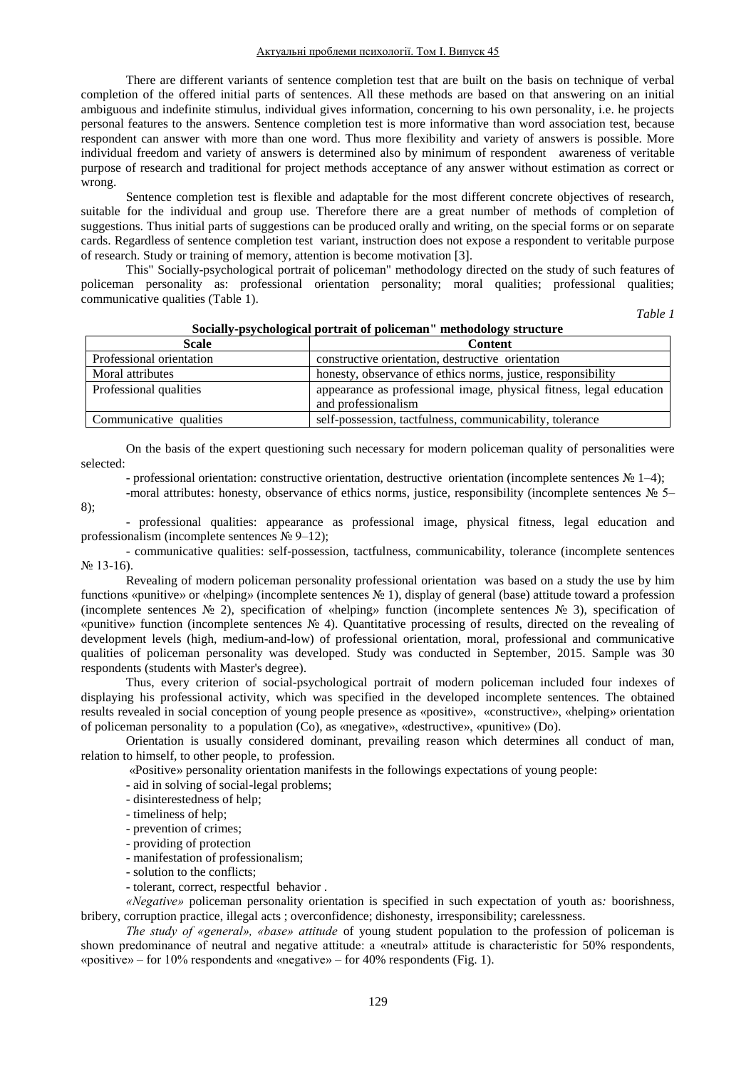There are different variants of sentence completion test that are built on the basis on technique of verbal completion of the offered initial parts of sentences. All these methods are based on that answering on an initial ambiguous and indefinite stimulus, individual gives information, concerning to his own personality, i.e. he projects personal features to the answers. Sentence completion test is more informative than word association test, because respondent can answer with more than one word. Thus more flexibility and variety of answers is possible. More individual freedom and variety of answers is determined also by minimum of respondent awareness of veritable purpose of research and traditional for project methods acceptance of any answer without estimation as correct or wrong.

Sentence completion test is flexible and adaptable for the most different concrete objectives of research, suitable for the individual and group use. Therefore there are a great number of methods of completion of suggestions. Thus initial parts of suggestions can be produced orally and writing, on the special forms or on separate cards. Regardless of sentence completion test variant, instruction does not expose a respondent to veritable purpose of research. Study or training of memory, attention is become motivation [3].

This" Socially-psychological portrait of policeman" methodology directed on the study of such features of policeman personality as: professional orientation personality; moral qualities; professional qualities; communicative qualities (Table 1).

*Table 1*

| Scale                    | <b>Content</b>                                                                             |
|--------------------------|--------------------------------------------------------------------------------------------|
| Professional orientation | constructive orientation, destructive orientation                                          |
| Moral attributes         | honesty, observance of ethics norms, justice, responsibility                               |
| Professional qualities   | appearance as professional image, physical fitness, legal education<br>and professionalism |
| Communicative qualities  | self-possession, tactfulness, communicability, tolerance                                   |

## **Socially-psychological portrait of policeman" methodology structure**

On the basis of the expert questioning such necessary for modern policeman quality of personalities were selected:

- professional orientation: constructive orientation, destructive orientation (incomplete sentences № 1–4);

- -moral attributes: honesty, observance of ethics norms, justice, responsibility (incomplete sentences № 5– 8);
- professional qualities: appearance as professional image, physical fitness, legal education and professionalism (incomplete sentences № 9–12);

- communicative qualities: self-possession, tactfulness, communicability, tolerance (incomplete sentences № 13-16).

Revealing of modern policeman personality professional orientation was based on a study the use by him functions «punitive» or «helping» (incomplete sentences № 1), display of general (base) attitude toward a profession (incomplete sentences № 2), specification of «helping» function (incomplete sentences № 3), specification of «punitive» function (incomplete sentences № 4). Quantitative processing of results, directed on the revealing of development levels (high, medium-and-low) of professional orientation, moral, professional and communicative qualities of policeman personality was developed. Study was conducted in September, 2015. Sample was 30 respondents (students with [Master's degree\)](http://context.reverso.net/%D0%BF%D0%B5%D1%80%D0%B5%D0%B2%D0%BE%D0%B4/%D0%B0%D0%BD%D0%B3%D0%BB%D0%B8%D0%B9%D1%81%D0%BA%D0%B8%D0%B9-%D1%80%D1%83%D1%81%D1%81%D0%BA%D0%B8%D0%B9/Master%27s+degree).

Thus, every criterion of social-psychological portrait of modern policeman included four indexes of displaying his professional activity, which was specified in the developed incomplete sentences. The obtained results revealed in social conception of young people presence as «positive», «constructive», «helping» orientation of policeman personality to a population (Co), as «negative», «destructive», «punitive» (Do).

Orientation is usually considered dominant, prevailing reason which determines all conduct of man, relation to himself, to other people, to profession.

«Positive» personality orientation manifests in the followings expectations of young people:

- aid in solving of social-legal problems;
- disinterestedness of help;
- timeliness of help;
- prevention of crimes;
- providing of protection
- manifestation of professionalism;
- solution to the conflicts;
- tolerant, correct, respectful behavior .

*«Negative»* policeman personality orientation is specified in such expectation of youth as*:* boorishness, bribery, corruption practice, illegal acts ; overconfidence; dishonesty, irresponsibility; carelessness.

*The study of «general», «base» attitude* of young student population to the profession of policeman is shown predominance of neutral and negative attitude: a «neutral» attitude is characteristic for 50% respondents, «positive» – for 10% respondents and «negative» – for 40% respondents (Fig. 1).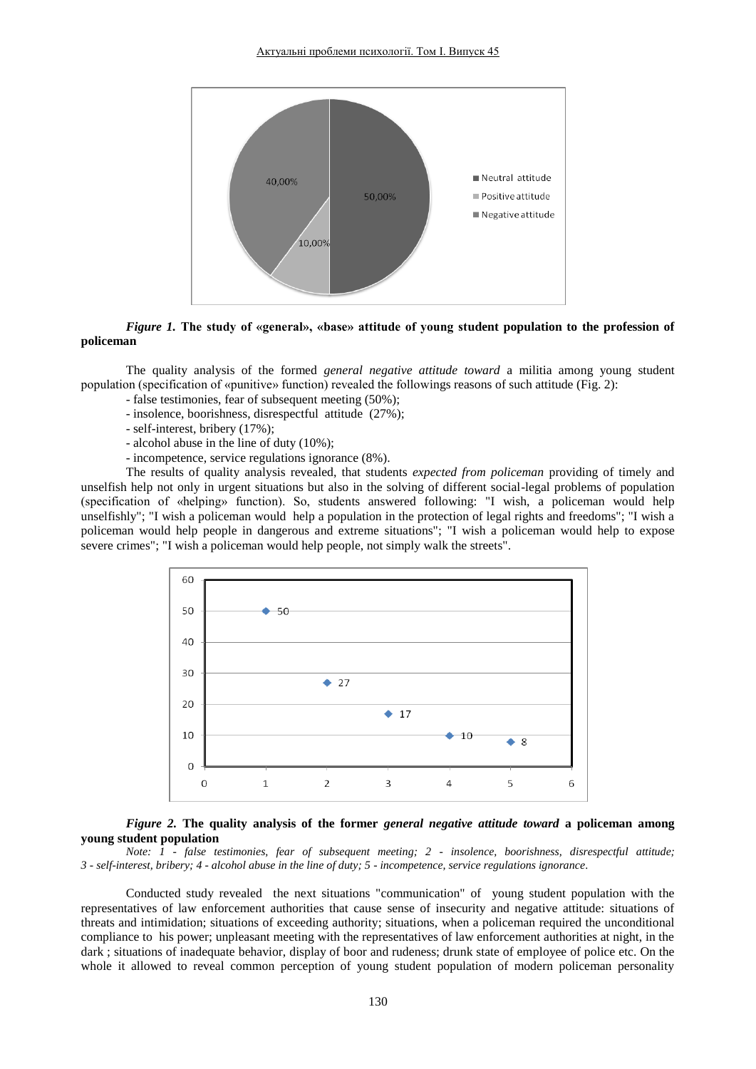

# *Figure 1.* **The study of «general», «base» attitude of young student population to the profession of policeman**

The quality analysis of the formed *general negative attitude toward* a militia among young student population (specification of «punitive» function) revealed the followings reasons of such attitude (Fig. 2):

- false testimonies, fear of subsequent meeting (50%);
- insolence, boorishness, disrespectful attitude (27%);
- self-interest, bribery (17%);
- alcohol abuse in the line of duty (10%);
- incompetence, service regulations ignorance (8%).

The results of quality analysis revealed, that students *expected from policeman* providing of timely and unselfish help not only in urgent situations but also in the solving of different social-legal problems of population (specification of «helping» function). So, students answered following: "I wish, a policeman would help unselfishly"; "I wish a policeman would help a population in the protection of legal rights and freedoms"; "I wish a policeman would help people in dangerous and extreme situations"; "I wish a policeman would help to expose severe crimes"; "I wish a policeman would help people, not simply walk the streets".



## *Figure 2.* **The quality analysis of the former** *general negative attitude toward* **a policeman among young student population**

*Note: 1 - false testimonies, fear of subsequent meeting; 2 - insolence, boorishness, disrespectful attitude; 3 - self-interest, bribery; 4 - alcohol abuse in the line of duty; 5 - incompetence, service regulations ignorance*.

Conducted study revealed the next situations "communication" of young student population with the representatives of law enforcement authorities that cause sense of insecurity and negative attitude: situations of threats and intimidation; situations of exceeding authority; situations, when a policeman required the unconditional compliance to his power; unpleasant meeting with the representatives of law enforcement authorities at night, in the dark ; situations of inadequate behavior, display of boor and rudeness; drunk state of employee of police etc. On the whole it allowed to reveal common perception of young student population of modern policeman personality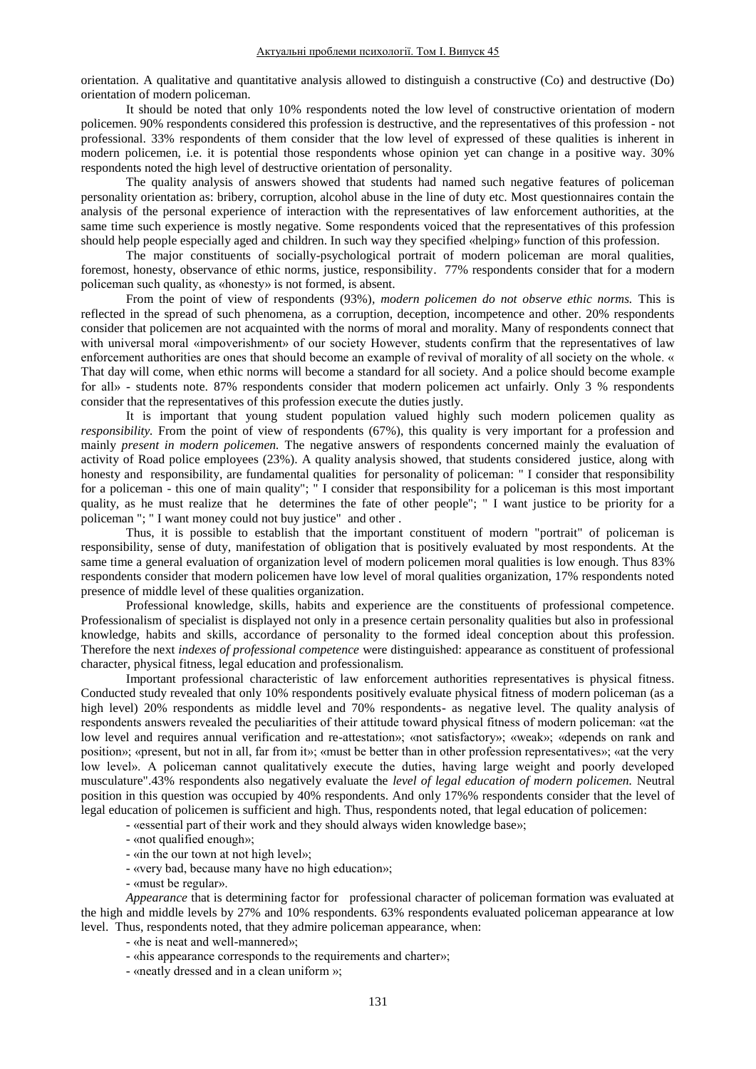orientation. A qualitative and quantitative analysis allowed to distinguish a constructive (Co) and destructive (Do) orientation of modern policeman.

It should be noted that only 10% respondents noted the low level of constructive orientation of modern policemen. 90% respondents considered this profession is destructive, and the representatives of this profession - not professional. 33% respondents of them consider that the low level of expressed of these qualities is inherent in modern policemen, i.e. it is potential those respondents whose opinion yet can change in a positive way. 30% respondents noted the high level of destructive orientation of personality.

The quality analysis of answers showed that students had named such negative features of policeman personality orientation as: bribery, corruption, alcohol abuse in the line of duty etc. Most questionnaires contain the analysis of the personal experience of interaction with the representatives of law enforcement authorities, at the same time such experience is mostly negative. Some respondents voiced that the representatives of this profession should help people especially aged and children. In such way they specified «helping» function of this profession.

The major constituents of socially-psychological portrait of modern policeman are moral qualities, foremost, honesty, observance of ethic norms, justice, responsibility. 77% respondents consider that for a modern policeman such quality, as «honesty» is not formed, is absent.

From the point of view of respondents (93%)*, modern policemen do not observe ethic norms.* This is reflected in the spread of such phenomena, as a corruption, deception, incompetence and other. 20% respondents consider that policemen are not acquainted with the norms of moral and morality. Many of respondents connect that with universal moral «impoverishment» of our society However, students confirm that the representatives of law enforcement authorities are ones that should become an example of revival of morality of all society on the whole. « That day will come, when ethic norms will become a standard for all society. And a police should become example for all» - students note. 87% respondents consider that modern policemen act unfairly. Only 3 % respondents consider that the representatives of this profession execute the duties justly.

It is important that young student population valued highly such modern policemen quality as *responsibility.* From the point of view of respondents (67%), this quality is very important for a profession and mainly *present in modern policemen.* The negative answers of respondents concerned mainly the evaluation of activity of Road police employees (23%). A quality analysis showed, that students considered justice, along with honesty and responsibility, are fundamental qualities for personality of policeman: " I consider that responsibility for a policeman - this one of main quality"; " I consider that responsibility for a policeman is this most important quality, as he must realize that he [determines the fate](http://context.reverso.net/%D0%BF%D0%B5%D1%80%D0%B5%D0%B2%D0%BE%D0%B4/%D0%B0%D0%BD%D0%B3%D0%BB%D0%B8%D0%B9%D1%81%D0%BA%D0%B8%D0%B9-%D1%80%D1%83%D1%81%D1%81%D0%BA%D0%B8%D0%B9/to+determine+the+fate) of other people"; " I want justice to be priority for a policeman "; " I want money could not buy justice" and other .

Thus, it is possible to establish that the important constituent of modern "portrait" of policeman is responsibility, sense of duty, manifestation of obligation that is positively evaluated by most respondents. At the same time a general evaluation of organization level of modern policemen moral qualities is low enough. Thus 83% respondents consider that modern policemen have low level of moral qualities organization, 17% respondents noted presence of middle level of these qualities organization.

Professional knowledge, skills, habits and experience are the constituents of professional competence. Professionalism of specialist is displayed not only in a presence certain personality qualities but also in professional knowledge, habits and skills, accordance of personality to the formed ideal conception about this profession. Therefore the next *indexes of professional competence* were distinguished: appearance as constituent of professional character, physical fitness, legal education and professionalism.

Important professional characteristic of law enforcement authorities representatives is physical fitness. Conducted study revealed that only 10% respondents positively evaluate physical fitness of modern policeman (as a high level) 20% respondents as middle level and 70% respondents- as negative level. The quality analysis of respondents answers revealed the peculiarities of their attitude toward physical fitness of modern policeman: «at the low level and requires annual verification and re-attestation»; «not satisfactory»; «weak»; «depends on rank and position»; «present, but not in all, far from it»; «must be better than in other profession representatives»; «at the very low level». A policeman cannot qualitatively execute the duties, having large weight and poorly developed musculature".43% respondents also negatively evaluate the *level of legal education of modern policemen.* Neutral position in this question was occupied by 40% respondents. And only 17%% respondents consider that the level of legal education of policemen is sufficient and high. Thus, respondents noted, that legal education of policemen:

- «essential part of their work and they should always widen [knowledge base»](http://context.reverso.net/%D0%BF%D0%B5%D1%80%D0%B5%D0%B2%D0%BE%D0%B4/%D0%B0%D0%BD%D0%B3%D0%BB%D0%B8%D0%B9%D1%81%D0%BA%D0%B8%D0%B9-%D1%80%D1%83%D1%81%D1%81%D0%BA%D0%B8%D0%B9/knowledge+base);

- «not qualified enough»;
- «in the our town at not high level»;
- «very bad, because many have no high education»;
- «must be regular».

*Appearance* that is determining factor for professional character of policeman formation was evaluated at the high and middle levels by 27% and 10% respondents. 63% respondents evaluated policeman appearance at low level. Thus, respondents noted, that they admire policeman appearance, when:

- «he is neat and well-mannered»;
- «his appearance corresponds to the requirements and charter»;
- «neatly dressed and in a clean uniform »;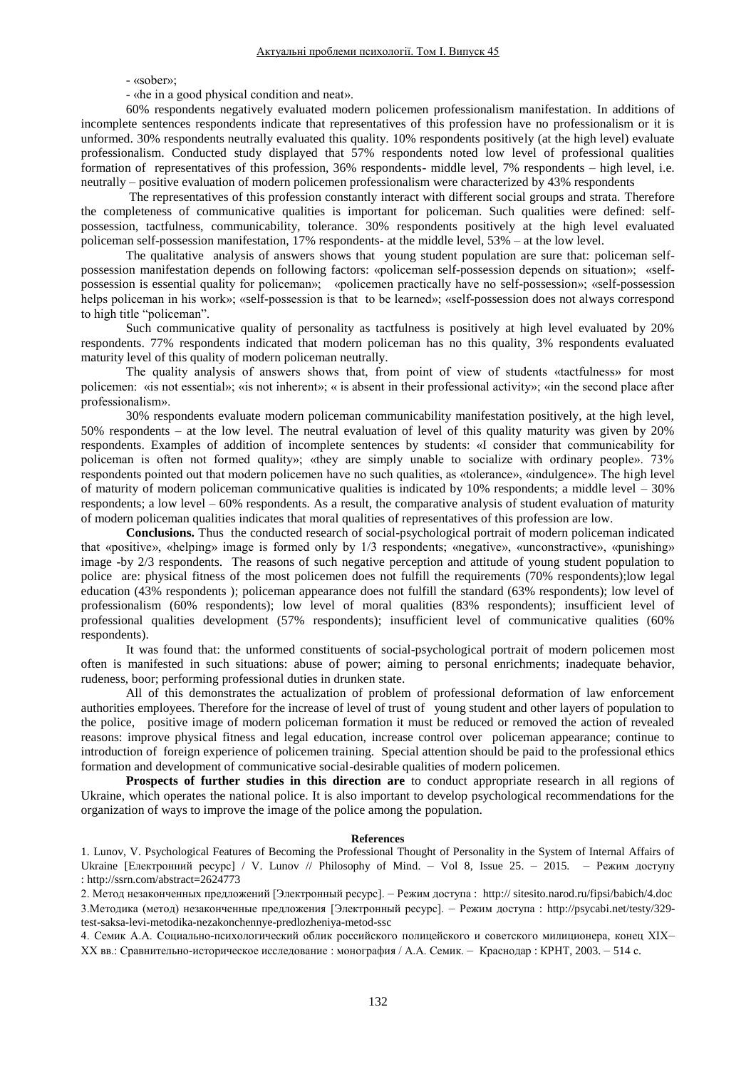- «sober»;

- «he in a good physical condition and neat».

60% respondents negatively evaluated modern policemen professionalism manifestation. In additions of incomplete sentences respondents indicate that representatives of this profession have no professionalism or it is unformed. 30% respondents neutrally evaluated this quality. 10% respondents positively (at the high level) evaluate professionalism. Conducted study displayed that 57% respondents noted low level of professional qualities formation of representatives of this profession, 36% respondents- middle level, 7% respondents – high level, i.e. neutrally – positive evaluation of modern policemen professionalism were characterized by 43% respondents

The representatives of this profession constantly interact with different social groups and strata. Therefore the completeness of communicative qualities is important for policeman. Such qualities were defined: selfpossession, tactfulness, communicability, tolerance. 30% respondents positively at the high level evaluated policeman self-possession manifestation, 17% respondents- at the middle level, 53% – at the low level.

The qualitative analysis of answers shows that young student population are sure that: policeman selfpossession manifestation depends on following factors: «policeman self-possession depends on situation»; «selfpossession is essential quality for policeman»; «policemen practically have no self-possession»; «self-possession helps policeman in his work»; «self-possession is that to be learned»; «self-possession does not always correspond to high title "policeman".

Such communicative quality of personality as tactfulness is positively at high level evaluated by 20% respondents. 77% respondents indicated that modern policeman has no this quality, 3% respondents evaluated maturity level of this quality of modern policeman neutrally.

The quality analysis of answers shows that, from point of view of students «tactfulness» for most policemen: «is not essential»; «is not inherent»; « is absent in their professional activity»; «in the second place after professionalism».

30% respondents evaluate modern policeman communicability manifestation positively, at the high level, 50% respondents – at the low level. The neutral evaluation of level of this quality maturity was given by 20% respondents. Examples of addition of incomplete sentences by students: «I consider that communicability for policeman is often not formed quality»; «they are simply unable to socialize with ordinary people». 73% respondents pointed out that modern policemen have no such qualities, as «tolerance», «indulgence». The high level of maturity of modern policeman communicative qualities is indicated by 10% respondents; a middle level – 30% respondents; a low level – 60% respondents. As a result, the comparative analysis of student evaluation of maturity of modern policeman qualities indicates that moral qualities of representatives of this profession are low.

**Conclusions.** Thus the conducted research of social-psychological portrait of modern policeman indicated that «positive», «helping» image is formed only by 1/3 respondents; «negative», «unconstractive», «punishing» image -by 2/3 respondents. The reasons of such negative perception and attitude of young student population to police are: physical fitness of the most policemen does not fulfill the requirements (70% respondents);low legal education (43% respondents ); policeman appearance does not fulfill the standard (63% respondents); low level of professionalism (60% respondents); low level of moral qualities (83% respondents); insufficient level of professional qualities development (57% respondents); insufficient level of communicative qualities (60% respondents).

It was found that: the unformed constituents of social-psychological portrait of modern policemen most often is manifested in such situations: abuse of power; aiming to personal enrichments; inadequate behavior, rudeness, boor; performing professional duties in drunken state.

All of this demonstrates the actualization of problem of professional deformation of law enforcement authorities employees. Therefore for the increase of level of trust of young student and other layers of population to the police, positive image of modern policeman formation it must be reduced or removed the action of revealed reasons: improve physical fitness and legal education, increase control over policeman appearance; continue to introduction of foreign experience of policemen training. [Special attention should be](http://context.reverso.net/%D0%BF%D0%B5%D1%80%D0%B5%D0%B2%D0%BE%D0%B4/%D0%B0%D0%BD%D0%B3%D0%BB%D0%B8%D0%B9%D1%81%D0%BA%D0%B8%D0%B9-%D1%80%D1%83%D1%81%D1%81%D0%BA%D0%B8%D0%B9/Special+attention+should+be) paid to the professional ethics formation and development of communicative social-desirable qualities of modern policemen.

**Prospects of further studies in this direction are** to conduct appropriate research in all regions of Ukraine, which operates the national police. It is also important to develop psychological recommendations for the organization of ways to improve the image of the police among the population.

### **References**

1. Lunov, V. Psychological Features of Becoming the Professional Thought of Personality in the System of Internal Affairs of Ukraine [Електронний ресурс] / V. Lunov // [Philosophy of Mind.](file:///C:\Documents%20and%20Settings\����\���%20���������\Downloads\Philosophy%20of%20Mind.%20�%20Vol%208,%20Issue%2025.%20�%202015) – Vol 8, Issue 25. – 2015. – Режим доступу : [http://ssrn.com/abstract=2624773](http://ssrn.com/abstract=2624773#_blank)

2. Метод незаконченных предложений [Электронный ресурс]. – Режим доступа : http:// sitesito.narod.ru/fipsi/babich/4.doc 3.Методика (метод) незаконченные предложения [Электронный ресурс]. – Режим доступа : http://psycabi.net/testy/329 test-saksa-levi-metodika-nezakonchennye-predlozheniya-metod-ssc

4. Семик А.А. Социально-психологический облик российского полицейского и советского милиционера, конец XIX– ХХ вв.: Сравнительно-историческое исследование : монография / А.А. Семик. – Краснодар : КРНТ, 2003. – 514 с.